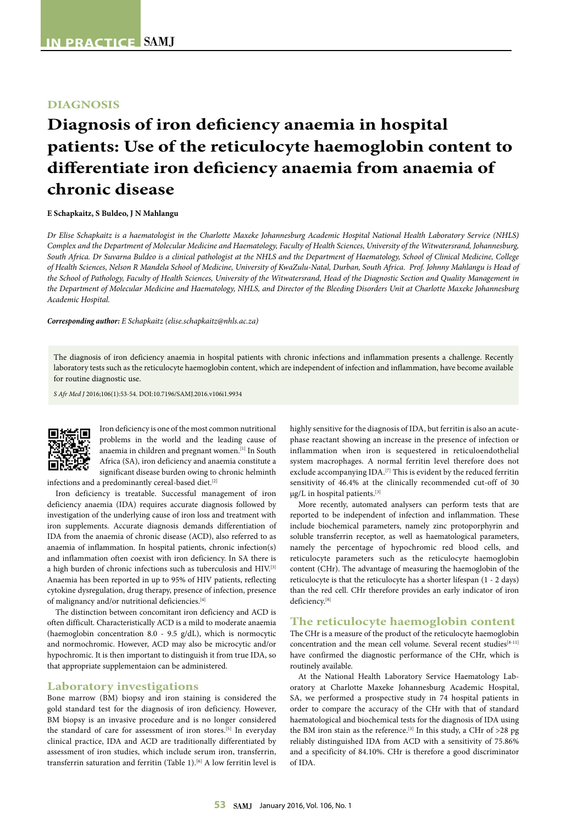# **DIAGNOSIS**

# **Diagnosis of iron deficiency anaemia in hospital patients: Use of the reticulocyte haemoglobin content to differentiate iron deficiency anaemia from anaemia of chronic disease**

#### **E Schapkaitz, S Buldeo, J N Mahlangu**

*Dr Elise Schapkaitz is a haematologist in the Charlotte Maxeke Johannesburg Academic Hospital National Health Laboratory Service (NHLS) Complex and the Department of Molecular Medicine and Haematology, Faculty of Health Sciences, University of the Witwatersrand, Johannesburg, South Africa. Dr Suvarna Buldeo is a clinical pathologist at the NHLS and the Department of Haematology, School of Clinical Medicine, College of Health Sciences, Nelson R Mandela School of Medicine, University of KwaZulu-Natal, Durban, South Africa. Prof. Johnny Mahlangu is Head of the School of Pathology, Faculty of Health Sciences, University of the Witwatersrand, Head of the Diagnostic Section and Quality Management in the Department of Molecular Medicine and Haematology, NHLS, and Director of the Bleeding Disorders Unit at Charlotte Maxeke Johannesburg Academic Hospital.* 

*Corresponding author: E Schapkaitz (elise.schapkaitz@nhls.ac.za)*

The diagnosis of iron deficiency anaemia in hospital patients with chronic infections and inflammation presents a challenge. Recently laboratory tests such as the reticulocyte haemoglobin content, which are independent of infection and inflammation, have become available for routine diagnostic use.

*S Afr Med J* 2016;106(1):53-54. DOI:10.7196/SAMJ.2016.v106i1.9934



Iron deficiency is one of the most common nutritional problems in the world and the leading cause of anaemia in children and pregnant women.[1] In South Africa (SA), iron deficiency and anaemia constitute a significant disease burden owing to chronic helminth infections and a predominantly cereal-based diet.<sup>[2]</sup>

Iron deficiency is treatable. Successful management of iron deficiency anaemia (IDA) requires accurate diagnosis followed by investigation of the underlying cause of iron loss and treatment with iron supplements. Accurate diagnosis demands differentiation of IDA from the anaemia of chronic disease (ACD), also referred to as anaemia of inflammation. In hospital patients, chronic infection(s) and inflammation often coexist with iron deficiency. In SA there is a high burden of chronic infections such as tuberculosis and HIV.[3] Anaemia has been reported in up to 95% of HIV patients, reflecting cytokine dysregulation, drug therapy, presence of infection, presence of malignancy and/or nutritional deficiencies.[4]

The distinction between concomitant iron deficiency and ACD is often difficult. Characteristically ACD is a mild to moderate anaemia (haemoglobin concentration 8.0 - 9.5 g/dL), which is normocytic and normochromic. However, ACD may also be microcytic and/or hypochromic. It is then important to distinguish it from true IDA, so that appropriate supplementaion can be administered.

#### **Laboratory investigations**

Bone marrow (BM) biopsy and iron staining is considered the gold standard test for the diagnosis of iron deficiency. However, BM biopsy is an invasive procedure and is no longer considered the standard of care for assessment of iron stores.[5] In everyday clinical practice, IDA and ACD are traditionally differentiated by assessment of iron studies, which include serum iron, transferrin, transferrin saturation and ferritin (Table 1).<sup>[6]</sup> A low ferritin level is

highly sensitive for the diagnosis of IDA, but ferritin is also an acutephase reactant showing an increase in the presence of infection or inflammation when iron is sequestered in reticuloendothelial system macrophages. A normal ferritin level therefore does not exclude accompanying IDA.<sup>[7]</sup> This is evident by the reduced ferritin sensitivity of 46.4% at the clinically recommended cut-off of 30  $\mu$ g/L in hospital patients.<sup>[3]</sup>

More recently, automated analysers can perform tests that are reported to be independent of infection and inflammation. These include biochemical parameters, namely zinc protoporphyrin and soluble transferrin receptor, as well as haematological parameters, namely the percentage of hypochromic red blood cells, and reticulocyte parameters such as the reticulocyte haemoglobin content (CHr). The advantage of measuring the haemoglobin of the reticulocyte is that the reticulocyte has a shorter lifespan (1 - 2 days) than the red cell. CHr therefore provides an early indicator of iron deficiency.<sup>[8]</sup>

## **The reticulocyte haemoglobin content**

The CHr is a measure of the product of the reticulocyte haemoglobin concentration and the mean cell volume. Several recent studies<sup>[8-11]</sup> have confirmed the diagnostic performance of the CHr, which is routinely available.

At the National Health Laboratory Service Haematology Laboratory at Charlotte Maxeke Johannesburg Academic Hospital, SA, we performed a prospective study in 74 hospital patients in order to compare the accuracy of the CHr with that of standard haematological and biochemical tests for the diagnosis of IDA using the BM iron stain as the reference.<sup>[3]</sup> In this study, a CHr of >28 pg reliably distinguished IDA from ACD with a sensitivity of 75.86% and a specificity of 84.10%. CHr is therefore a good discriminator of IDA.